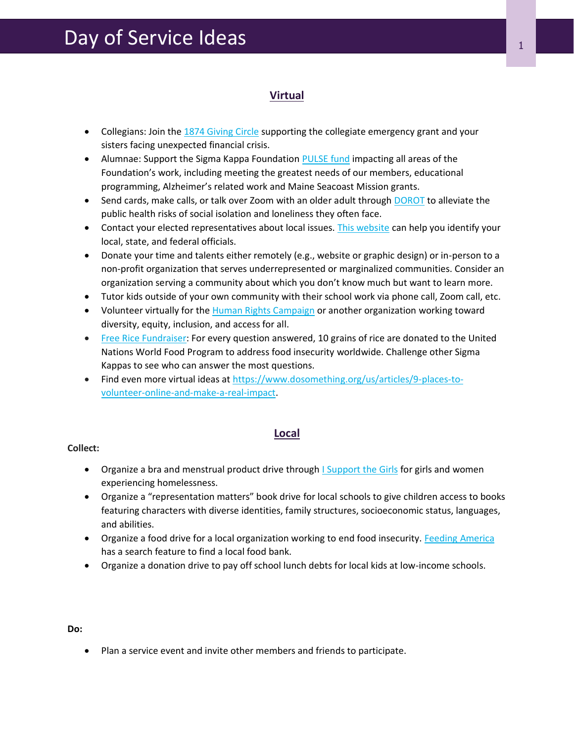## **Virtual**

- Collegians: Join the [1874 Giving Circle](https://sigmakappa.org/foundation/give/) supporting the collegiate emergency grant and your sisters facing unexpected financial crisis.
- Alumnae: Support the Sigma Kappa Foundation [PULSE fund](https://sigmakappa.org/foundation/give/) impacting all areas of the Foundation's work, including meeting the greatest needs of our members, educational programming, Alzheimer's related work and Maine Seacoast Mission grants.
- Send cards, make calls, or talk over Zoom with an older adult through [DOROT](https://www.dorotusa.org/volunteer/volunteer-from-home) to alleviate the public health risks of social isolation and loneliness they often face.
- Contact your elected representatives about local issues. [This website](https://myreps.datamade.us/) can help you identify your local, state, and federal officials.
- Donate your time and talents either remotely (e.g., website or graphic design) or in-person to a non-profit organization that serves underrepresented or marginalized communities. Consider an organization serving a community about which you don't know much but want to learn more.
- Tutor kids outside of your own community with their school work via phone call, Zoom call, etc.
- Volunteer virtually for the [Human Rights Campaign](https://www.hrc.org/get-involved/volunteer) or another organization working toward diversity, equity, inclusion, and access for all.
- [Free Rice Fundraiser:](https://freerice.com/) For every question answered, 10 grains of rice are donated to the United Nations World Food Program to address food insecurity worldwide. Challenge other Sigma Kappas to see who can answer the most questions.
- Find even more virtual ideas at [https://www.dosomething.org/us/articles/9-places-to](https://www.dosomething.org/us/articles/9-places-to-volunteer-online-and-make-a-real-impact)[volunteer-online-and-make-a-real-impact.](https://www.dosomething.org/us/articles/9-places-to-volunteer-online-and-make-a-real-impact)

### **Local**

### **Collect:**

- Organize a bra and menstrual product drive through [I Support the Girls](https://isupportthegirls.org/get.../collections-drives/) for girls and women experiencing homelessness.
- Organize a "representation matters" book drive for local schools to give children access to books featuring characters with diverse identities, family structures, socioeconomic status, languages, and abilities.
- Organize a food drive for a local organization working to end food insecurity. [Feeding America](https://www.feedingamerica.org/find-your-local-foodbank) has a search feature to find a local food bank.
- Organize a donation drive to pay off school lunch debts for local kids at low-income schools.

#### **Do:**

• Plan a service event and invite other members and friends to participate.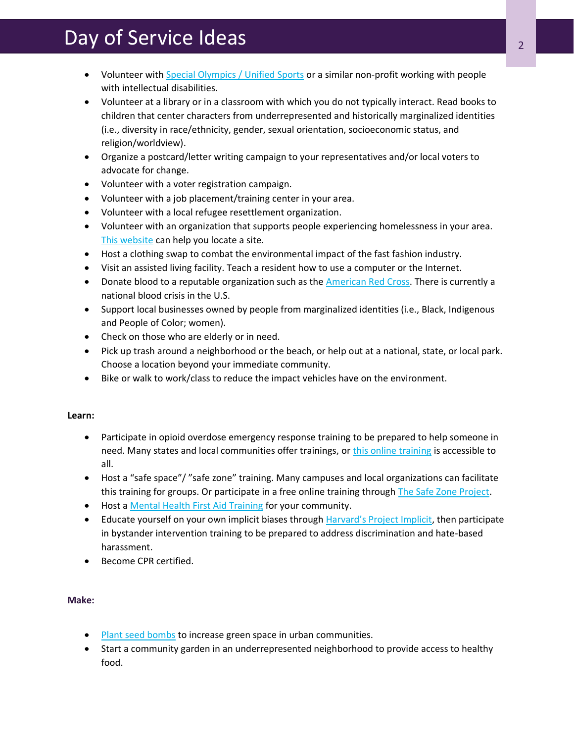# Day of Service Ideas <sup>2</sup>

- Volunteer with [Special Olympics / Unified Sports](https://www.specialolympics.org/get-involved/volunteer) or a similar non-profit working with people with intellectual disabilities.
- Volunteer at a library or in a classroom with which you do not typically interact. Read books to children that center characters from underrepresented and historically marginalized identities (i.e., diversity in race/ethnicity, gender, sexual orientation, socioeconomic status, and religion/worldview).
- Organize a postcard/letter writing campaign to your representatives and/or local voters to advocate for change.
- Volunteer with a voter registration campaign.
- Volunteer with a job placement/training center in your area.
- Volunteer with a local refugee resettlement organization.
- Volunteer with an organization that supports people experiencing homelessness in your area. [This website](https://nationalhomeless.org/references/directory/) can help you locate a site.
- Host a clothing swap to combat the environmental impact of the fast fashion industry.
- Visit an assisted living facility. Teach a resident how to use a computer or the Internet.
- Donate blood to a reputable organization such as the [American Red Cross.](https://www.redcrossblood.org/give.html/find-drive?cid=nonbrand&med=cpc&source=google&scode=RSG00000E017&gclid=Cj0KCQiAjc2QBhDgARIsAMc3SqReuPYWi2yWFSa27zDtHawP-oOnrUXfiuhp3XehPxADsUhA31baMFkaAtO0EALw_wcB&gclsrc=aw.ds) There is currently a national blood crisis in the U.S.
- Support local businesses owned by people from marginalized identities (i.e., Black, Indigenous and People of Color; women).
- Check on those who are elderly or in need.
- Pick up trash around a neighborhood or the beach, or help out at a national, state, or local park. Choose a location beyond your immediate community.
- Bike or walk to work/class to reduce the impact vehicles have on the environment.

### **Learn:**

- Participate in opioid overdose emergency response training to be prepared to help someone in need. Many states and local communities offer trainings, o[r this online training](https://www.getnaloxonenow.org/#home) is accessible to all.
- Host a "safe space"/ "safe zone" training. Many campuses and local organizations can facilitate this training for groups. Or participate in a free online training throug[h The Safe Zone Project.](https://thesafezoneproject.com/learn)
- Host a [Mental Health First Aid Training](https://www.mentalhealthfirstaid.org/) for your community.
- Educate yourself on your own implicit biases through [Harvard's Project Implicit](https://implicit.harvard.edu/implicit/education.html?fbclid=IwAR2-xm7A-6H2GHw7Fmm_qt6ot8_AtYLqQXV4kPM3b7a3yMpmQMLyzOq9PLw), then participate in bystander intervention training to be prepared to address discrimination and hate-based harassment.
- Become CPR certified.

### **Make:**

- **[Plant seed bombs](https://www.dosomething.org/us/campaigns/seed-bombs-away) to increase green space in urban communities.**
- Start a community garden in an underrepresented neighborhood to provide access to healthy food.